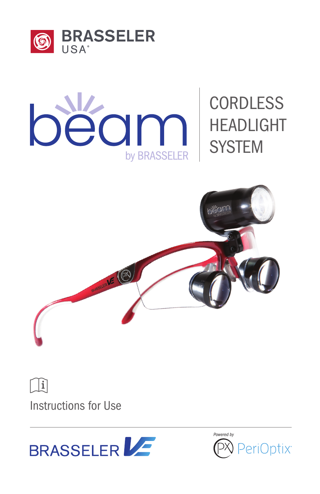



# **CORDLESS** HEADLIGHT **SYSTEM**



 $\prod_{i=1}^{n}$ 

Instructions for Use

BRASSELER

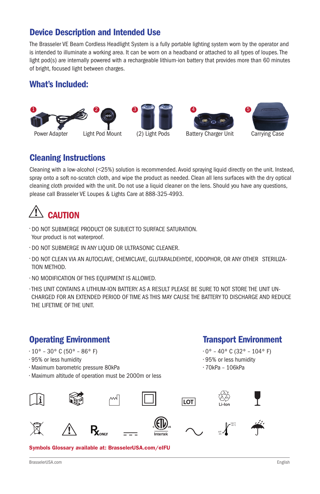## Device Description and Intended Use

The Brasseler VE Beam Cordless Headlight System is a fully portable lighting system worn by the operator and is intended to illuminate a working area. It can be worn on a headband or attached to all types of loupes. The light pod(s) are internally powered with a rechargeable lithium-ion battery that provides more than 60 minutes of bright, focused light between charges.

## What's Included:



Cleaning Instructions







Cleaning with a low-alcohol (<25%) solution is recommended. Avoid spraying liquid directly on the unit. Instead, spray onto a soft no-scratch cloth, and wipe the product as needed. Clean all lens surfaces with the dry optical cleaning cloth provided with the unit. Do not use a liquid cleaner on the lens. Should you have any questions, please call Brasseler VE Loupes & Lights Care at 888-325-4993.

# **CAUTION**

- DO NOT SUBMERGE PRODUCT OR SUBJECT TO SURFACE SATURATION. Your product is not waterproof.
- DO NOT SUBMERGE IN ANY LIQUID OR ULTRASONIC CLEANER.
- DO NOT CLEAN VIA AN AUTOCLAVE, CHEMICLAVE, GLUTARALDEHYDE, IODOPHOR, OR ANY OTHER STERILIZA-TION METHOD.
- NO MODIFICATION OF THIS EQUIPMENT IS ALLOWED.
- THIS UNIT CONTAINS A LITHIUM-ION BATTERY. AS A RESULT PLEASE BE SURE TO NOT STORE THE UNIT UN-CHARGED FOR AN EXTENDED PERIOD OF TIME AS THIS MAY CAUSE THE BATTERY TO DISCHARGE AND REDUCE THE LIFETIME OF THE UNIT.

## Operating Environment

- $\cdot$  10° 30° C (50° 86° F)
- 95% or less humidity
- Maximum barometric pressure 80kPa
- Maximum altitude of operation must be 2000m or less

# Transport Environment

- $\cdot$  0° 40° C (32° 104° F)
- 95% or less humidity
- 70kPa 106kPa

0°C 40 °C 104 °F













Symbols Glossary available at: BrasselerUSA.com/eIFU

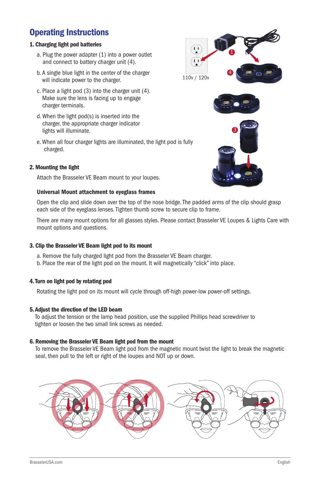## Operating Instructions

## 1. Charging light pod batteries

- a. Plug the power adapter (1) into a power outlet and connect to battery charger unit (4).
- b. A single blue light in the center of the charger will indicate power to the charger.
- c. Place a light pod (3) into the charger unit (4). Make sure the lens is facing up to engage charger terminals.
- d. When the light pod(s) is inserted into the charger, the appropriate charger indicator lights will illuminate.
- e. When all four charger lights are illuminated, the light pod is fully charged.

## 2. Mounting the light

Attach the Brasseler VE Beam mount to your loupes.

## Universal Mount attachment to eyeglass frames

Open the clip and slide down over the top of the nose bridge. The padded arms of the clip should grasp each side of the eyeglass lenses. Tighten thumb screw to secure clip to frame.

There are many mount options for all glasses styles. Please contact Brasseler VE Loupes & Lights Care with mount options and questions.

### 3. Clip the Brasseler VE Beam light pod to its mount

- a. Remove the fully charged light pod from the Brasseler VE Beam charger.
- b. Place the rear of the light pod on the mount. It will magnetically "click" into place.

## 4. Turn on light pod by rotating pod

Rotating the light pod on its mount will cycle through off-high power-low power-off settings.

## 5. Adjust the direction of the LED beam

To adjust the tension or the lamp head position, use the supplied Phillips head screwdriver to tighten or loosen the two small link screws as needed.

## 6. Removing the Brasseler VE Beam light pod from the mount

To remove the Brasseler VE Beam light pod from the magnetic mount twist the light to break the magnetic seal, then pull to the left or right of the loupes and NOT up or down.



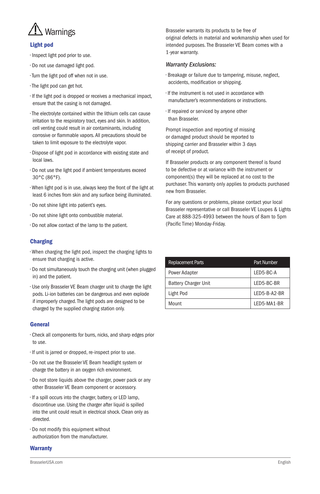

## Light pod

- Inspect light pod prior to use.
- Do not use damaged light pod.
- Turn the light pod off when not in use.
- The light pod can get hot.
- If the light pod is dropped or receives a mechanical impact, ensure that the casing is not damaged.
- The electrolyte contained within the lithium cells can cause irritation to the respiratory tract, eyes and skin. In addition, cell venting could result in air contaminants, including corrosive or flammable vapors. All precautions should be taken to limit exposure to the electrolyte vapor.
- Dispose of light pod in accordance with existing state and local laws.
- Do not use the light pod if ambient temperatures exceed 30°C (86°F).
- When light pod is in use, always keep the front of the light at least 6 inches from skin and any surface being illuminated.
- Do not shine light into patient's eyes.
- Do not shine light onto combustible material.
- Do not allow contact of the lamp to the patient.

## Charging

- When charging the light pod, inspect the charging lights to ensure that charging is active.
- Do not simultaneously touch the charging unit (when plugged in) and the patient.
- Use only Brasseler VE Beam charger unit to charge the light pods. Li-ion batteries can be dangerous and even explode if improperly charged. The light pods are designed to be charged by the supplied charging station only.

### General

- Check all components for burrs, nicks, and sharp edges prior to use.
- If unit is jarred or dropped, re-inspect prior to use.
- Do not use the Brasseler VE Beam headlight system or charge the battery in an oxygen rich environment.
- Do not store liquids above the charger, power pack or any other Brasseler VE Beam component or accessory.
- If a spill occurs into the charger, battery, or LED lamp, discontinue use. Using the charger after liquid is spilled into the unit could result in electrical shock. Clean only as directed.
- Do not modify this equipment without authorization from the manufacturer.

### **Warranty**

Brasseler warrants its products to be free of original defects in material and workmanship when used for intended purposes. The Brasseler VE Beam comes with a 1-year warranty.

## *Warranty Exclusions:*

- Breakage or failure due to tampering, misuse, neglect, accidents, modification or shipping.
- If the instrument is not used in accordance with manufacturer's recommendations or instructions.
- If repaired or serviced by anyone other than Brasseler.

Prompt inspection and reporting of missing or damaged product should be reported to shipping carrier and Brasseler within 3 days of receipt of product.

If Brasseler products or any component thereof is found to be defective or at variance with the instrument or component(s) they will be replaced at no cost to the purchaser. This warranty only applies to products purchased new from Brasseler.

For any questions or problems, please contact your local Brasseler representative or call Brasseler VE Loupes & Lights Care at 888-325-4993 between the hours of 8am to 5pm (Pacific Time) Monday-Friday.

| <b>Replacement Parts</b>    | Part Number  |
|-----------------------------|--------------|
| <b>Power Adapter</b>        | LED5-BC-A    |
| <b>Battery Charger Unit</b> | LED5-BC-BR   |
| Light Pod                   | LED5-B-A2-BR |
| Mount                       | LED5-MA1-BR  |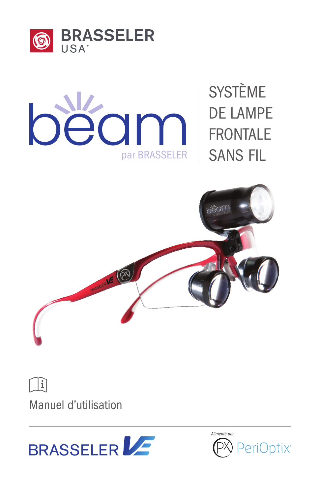



SYSTÈME DE LAMPE FRONTALE SANS FIL



 $\prod_{i=1}^{n}$ 

Manuel d'utilisation

BRASSELER

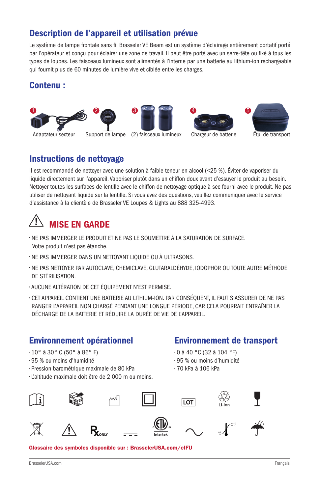## Description de l'appareil et utilisation prévue

Le système de lampe frontale sans fil Brasseler VE Beam est un système d'éclairage entièrement portatif porté par l'opérateur et conçu pour éclairer une zone de travail. Il peut être porté avec un serre-tête ou fixé à tous les types de loupes. Les faisceaux lumineux sont alimentés à l'interne par une batterie au lithium-ion rechargeable qui fournit plus de 60 minutes de lumière vive et ciblée entre les charges.

## Contenu :









Il est recommandé de nettoyer avec une solution à faible teneur en alcool (<25 %). Éviter de vaporiser du liquide directement sur l'appareil. Vaporiser plutôt dans un chiffon doux avant d'essuyer le produit au besoin. Nettoyer toutes les surfaces de lentille avec le chiffon de nettoyage optique à sec fourni avec le produit. Ne pas utiliser de nettoyant liquide sur la lentille. Si vous avez des questions, veuillez communiquer avec le service d'assistance à la clientèle de Brasseler VE Loupes & Lights au 888 325-4993.

# MISE EN GARDE

Instructions de nettoyage

- NE PAS IMMERGER LE PRODUIT ET NE PAS LE SOUMETTRE À LA SATURATION DE SURFACE.
- Votre produit n'est pas étanche.
- NE PAS IMMERGER DANS UN NETTOYANT LIQUIDE OU À ULTRASONS.
- NE PAS NETTOYER PAR AUTOCLAVE, CHEMICLAVE, GLUTARALDÉHYDE, IODOPHOR OU TOUTE AUTRE MÉTHODE DE STÉRILISATION.
- AUCUNE ALTÉRATION DE CET ÉQUIPEMENT N'EST PERMISE.
- CET APPAREIL CONTIENT UNE BATTERIE AU LITHIUM-ION. PAR CONSÉQUENT, IL FAUT S'ASSURER DE NE PAS RANGER L'APPAREIL NON CHARGÉ PENDANT UNE LONGUE PÉRIODE, CAR CELA POURRAIT ENTRAÎNER LA DÉCHARGE DE LA BATTERIE ET RÉDUIRE LA DURÉE DE VIE DE L'APPAREIL.

## Environnement opérationnel

• Pression barométrique maximale de 80 kPa • L'altitude maximale doit être de 2 000 m ou moins.

• 10° à 30° C (50° à 86° F) • 95 % ou moins d'humidité

## Environnement de transport

- 0 à 40 °C (32 à 104 °F)
- 95 % ou moins d'humidité
- 70 kPa à 106 kPa



Glossaire des symboles disponible sur : BrasselerUSA.com/eIFU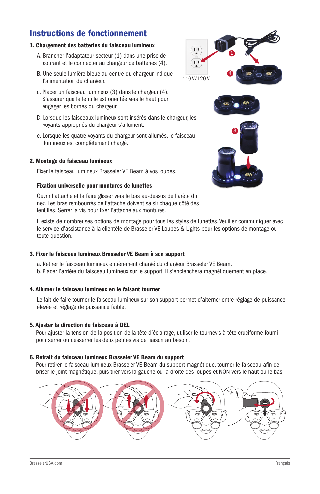## Instructions de fonctionnement

## 1. Chargement des batteries du faisceau lumineux

- A. Brancher l'adaptateur secteur (1) dans une prise de courant et le connecter au chargeur de batteries (4).
- B. Une seule lumière bleue au centre du chargeur indique l'alimentation du chargeur.
- c. Placer un faisceau lumineux (3) dans le chargeur (4). S'assurer que la lentille est orientée vers le haut pour engager les bornes du chargeur.
- D. Lorsque les faisceaux lumineux sont insérés dans le chargeur, les voyants appropriés du chargeur s'allument.
- e. Lorsque les quatre voyants du chargeur sont allumés, le faisceau lumineux est complètement chargé.

## 2. Montage du faisceau lumineux

Fixer le faisceau lumineux Brasseler VE Beam à vos loupes.

## Fixation universelle pour montures de lunettes

Ouvrir l'attache et la faire glisser vers le bas au-dessus de l'arête du nez. Les bras rembourrés de l'attache doivent saisir chaque côté des lentilles. Serrer la vis pour fixer l'attache aux montures.

Il existe de nombreuses options de montage pour tous les styles de lunettes. Veuillez communiquer avec le service d'assistance à la clientèle de Brasseler VE Loupes & Lights pour les options de montage ou toute question.

## 3. Fixer le faisceau lumineux Brasseler VE Beam à son support

a. Retirer le faisceau lumineux entièrement chargé du chargeur Brasseler VE Beam. b. Placer l'arrière du faisceau lumineux sur le support. Il s'enclenchera magnétiquement en place.

## 4. Allumer le faisceau lumineux en le faisant tourner

Le fait de faire tourner le faisceau lumineux sur son support permet d'alterner entre réglage de puissance élevée et réglage de puissance faible.

## 5. Ajuster la direction du faisceau à DEL

Pour ajuster la tension de la position de la tête d'éclairage, utiliser le tournevis à tête cruciforme fourni pour serrer ou desserrer les deux petites vis de liaison au besoin.

## 6. Retrait du faisceau lumineux Brasseler VE Beam du support

Pour retirer le faisceau lumineux Brasseler VE Beam du support magnétique, tourner le faisceau afin de briser le joint magnétique, puis tirer vers la gauche ou la droite des loupes et NON vers le haut ou le bas.